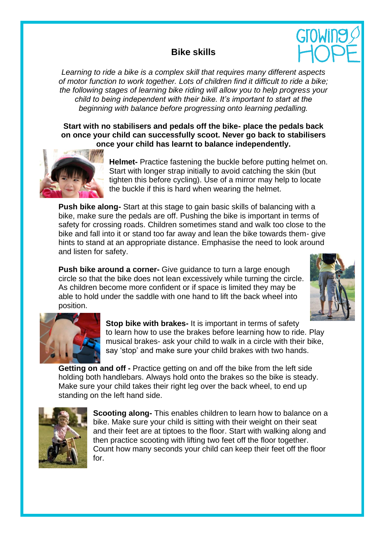## **Bike skills**



*Learning to ride a bike is a complex skill that requires many different aspects of motor function to work together. Lots of children find it difficult to ride a bike; the following stages of learning bike riding will allow you to help progress your child to being independent with their bike. It's important to start at the beginning with balance before progressing onto learning pedalling.* 

**Start with no stabilisers and pedals off the bike- place the pedals back on once your child can successfully scoot. Never go back to stabilisers once your child has learnt to balance independently.**



**Helmet-** Practice fastening the buckle before putting helmet on. Start with longer strap initially to avoid catching the skin (but tighten this before cycling). Use of a mirror may help to locate the buckle if this is hard when wearing the helmet.

**Push bike along-** Start at this stage to gain basic skills of balancing with a bike, make sure the pedals are off. Pushing the bike is important in terms of safety for crossing roads. Children sometimes stand and walk too close to the bike and fall into it or stand too far away and lean the bike towards them- give hints to stand at an appropriate distance. Emphasise the need to look around and listen for safety.

**Push bike around a corner-** Give guidance to turn a large enough circle so that the bike does not lean excessively while turning the circle. As children become more confident or if space is limited they may be able to hold under the saddle with one hand to lift the back wheel into position.





**Stop bike with brakes-** It is important in terms of safety to learn how to use the brakes before learning how to ride. Play musical brakes- ask your child to walk in a circle with their bike, say 'stop' and make sure your child brakes with two hands.

**Getting on and off -** Practice getting on and off the bike from the left side holding both handlebars. Always hold onto the brakes so the bike is steady. Make sure your child takes their right leg over the back wheel, to end up standing on the left hand side.



**Scooting along-** This enables children to learn how to balance on a bike. Make sure your child is sitting with their weight on their seat and their feet are at tiptoes to the floor. Start with walking along and then practice scooting with lifting two feet off the floor together. Count how many seconds your child can keep their feet off the floor for.